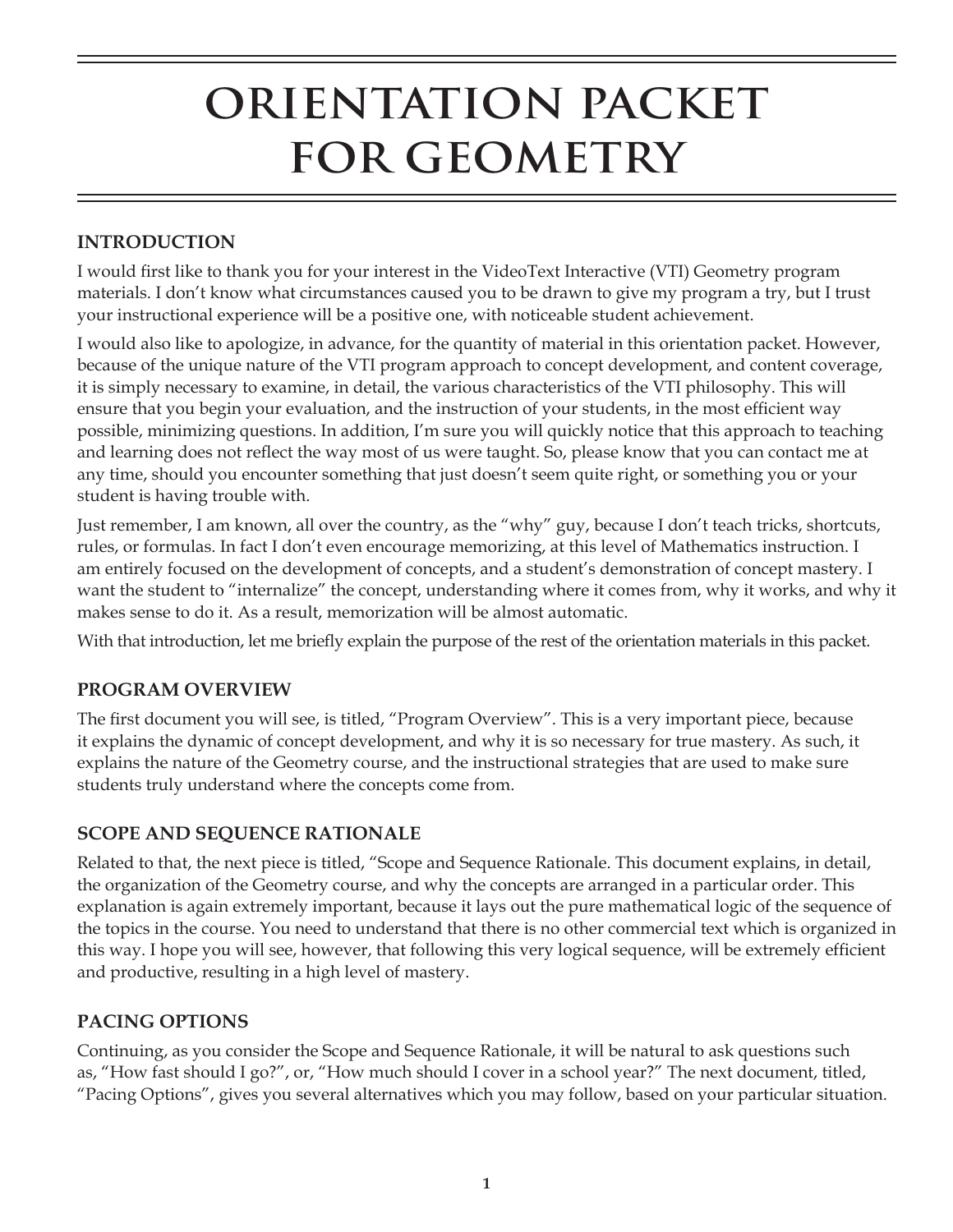# **ORIENTATION PACKET FOR GEOMETRY**

#### **INTRODUCTION**

I would first like to thank you for your interest in the VideoText Interactive (VTI) Geometry program materials. I don't know what circumstances caused you to be drawn to give my program a try, but I trust your instructional experience will be a positive one, with noticeable student achievement.

I would also like to apologize, in advance, for the quantity of material in this orientation packet. However, because of the unique nature of the VTI program approach to concept development, and content coverage, it is simply necessary to examine, in detail, the various characteristics of the VTI philosophy. This will ensure that you begin your evaluation, and the instruction of your students, in the most efficient way possible, minimizing questions. In addition, I'm sure you will quickly notice that this approach to teaching and learning does not reflect the way most of us were taught. So, please know that you can contact me at any time, should you encounter something that just doesn't seem quite right, or something you or your student is having trouble with.

Just remember, I am known, all over the country, as the "why" guy, because I don't teach tricks, shortcuts, rules, or formulas. In fact I don't even encourage memorizing, at this level of Mathematics instruction. I am entirely focused on the development of concepts, and a student's demonstration of concept mastery. I want the student to "internalize" the concept, understanding where it comes from, why it works, and why it makes sense to do it. As a result, memorization will be almost automatic.

With that introduction, let me briefly explain the purpose of the rest of the orientation materials in this packet.

#### **PROGRAM OVERVIEW**

The first document you will see, is titled, "Program Overview". This is a very important piece, because it explains the dynamic of concept development, and why it is so necessary for true mastery. As such, it explains the nature of the Geometry course, and the instructional strategies that are used to make sure students truly understand where the concepts come from.

#### **SCOPE AND SEQUENCE RATIONALE**

Related to that, the next piece is titled, "Scope and Sequence Rationale. This document explains, in detail, the organization of the Geometry course, and why the concepts are arranged in a particular order. This explanation is again extremely important, because it lays out the pure mathematical logic of the sequence of the topics in the course. You need to understand that there is no other commercial text which is organized in this way. I hope you will see, however, that following this very logical sequence, will be extremely efficient and productive, resulting in a high level of mastery.

#### **PACING OPTIONS**

Continuing, as you consider the Scope and Sequence Rationale, it will be natural to ask questions such as, "How fast should I go?", or, "How much should I cover in a school year?" The next document, titled, "Pacing Options", gives you several alternatives which you may follow, based on your particular situation.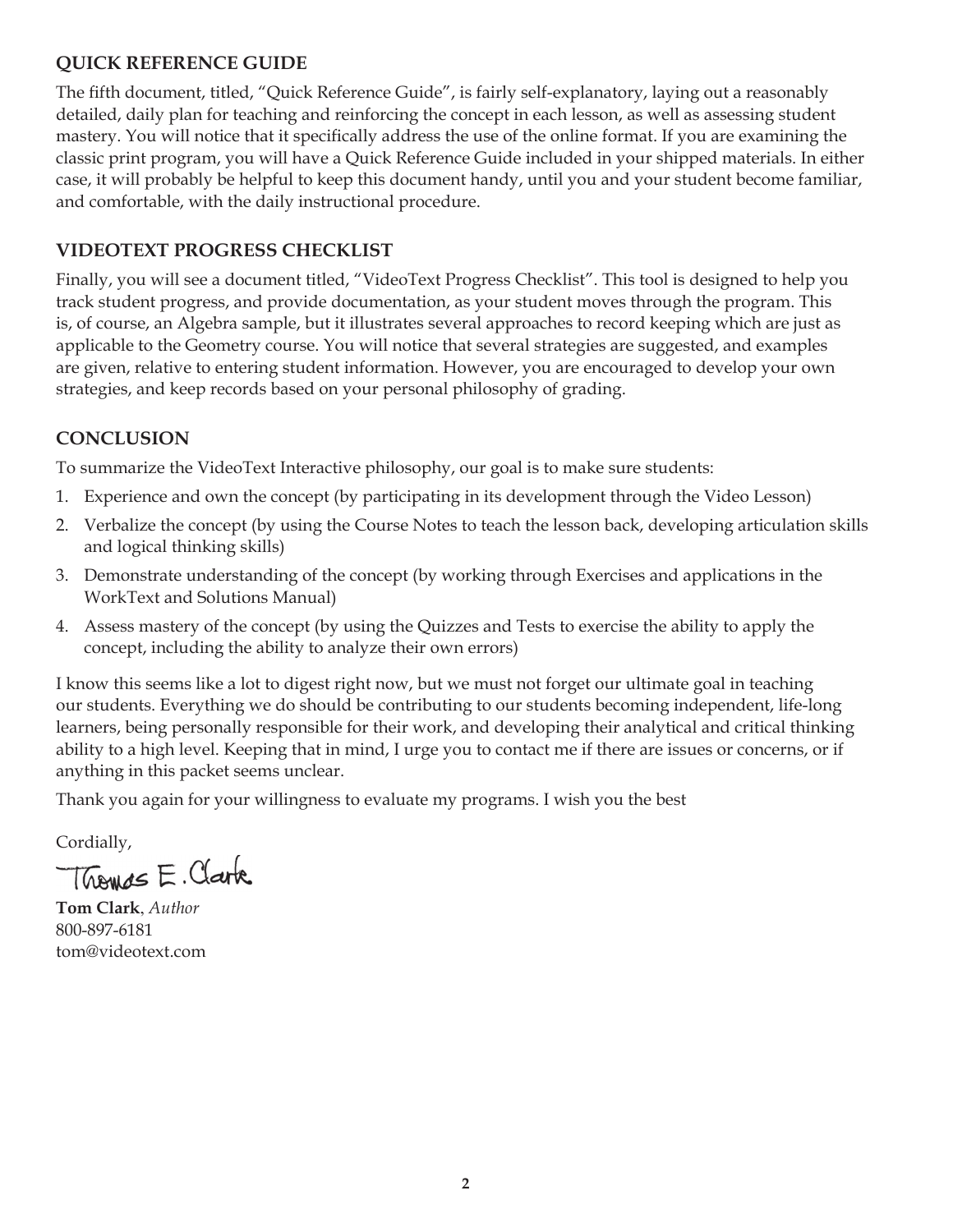#### **QUICK REFERENCE GUIDE**

The fifth document, titled, "Quick Reference Guide", is fairly self-explanatory, laying out a reasonably detailed, daily plan for teaching and reinforcing the concept in each lesson, as well as assessing student mastery. You will notice that it specifically address the use of the online format. If you are examining the classic print program, you will have a Quick Reference Guide included in your shipped materials. In either case, it will probably be helpful to keep this document handy, until you and your student become familiar, and comfortable, with the daily instructional procedure.

#### **VIDEOTEXT PROGRESS CHECKLIST**

Finally, you will see a document titled, "VideoText Progress Checklist". This tool is designed to help you track student progress, and provide documentation, as your student moves through the program. This is, of course, an Algebra sample, but it illustrates several approaches to record keeping which are just as applicable to the Geometry course. You will notice that several strategies are suggested, and examples are given, relative to entering student information. However, you are encouraged to develop your own strategies, and keep records based on your personal philosophy of grading.

#### **CONCLUSION**

To summarize the VideoText Interactive philosophy, our goal is to make sure students:

- 1. Experience and own the concept (by participating in its development through the Video Lesson)
- 2. Verbalize the concept (by using the Course Notes to teach the lesson back, developing articulation skills and logical thinking skills)
- 3. Demonstrate understanding of the concept (by working through Exercises and applications in the WorkText and Solutions Manual)
- 4. Assess mastery of the concept (by using the Quizzes and Tests to exercise the ability to apply the concept, including the ability to analyze their own errors)

I know this seems like a lot to digest right now, but we must not forget our ultimate goal in teaching our students. Everything we do should be contributing to our students becoming independent, life-long learners, being personally responsible for their work, and developing their analytical and critical thinking ability to a high level. Keeping that in mind, I urge you to contact me if there are issues or concerns, or if anything in this packet seems unclear.

Thank you again for your willingness to evaluate my programs. I wish you the best

Cordially,

Thomas E. Clark

**Tom Clark**, *Author* 800-897-6181 tom@videotext.com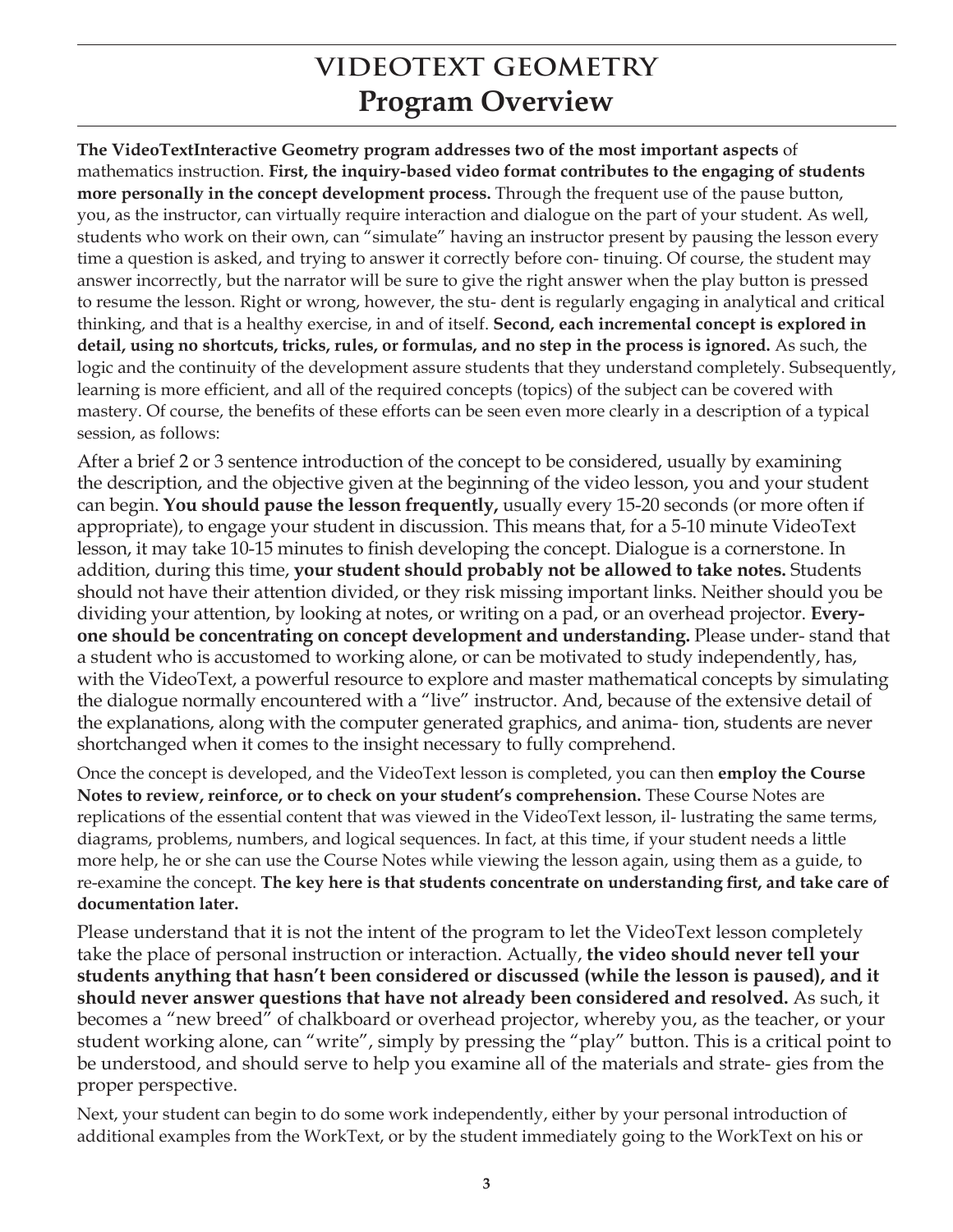### **VIDEOTEXT GEOMETRY Program Overview**

**The VideoTextInteractive Geometry program addresses two of the most important aspects** of mathematics instruction. **First, the inquiry-based video format contributes to the engaging of students more personally in the concept development process.** Through the frequent use of the pause button, you, as the instructor, can virtually require interaction and dialogue on the part of your student. As well, students who work on their own, can "simulate" having an instructor present by pausing the lesson every time a question is asked, and trying to answer it correctly before con- tinuing. Of course, the student may answer incorrectly, but the narrator will be sure to give the right answer when the play button is pressed to resume the lesson. Right or wrong, however, the stu- dent is regularly engaging in analytical and critical thinking, and that is a healthy exercise, in and of itself. **Second, each incremental concept is explored in detail, using no shortcuts, tricks, rules, or formulas, and no step in the process is ignored.** As such, the logic and the continuity of the development assure students that they understand completely. Subsequently, learning is more efficient, and all of the required concepts (topics) of the subject can be covered with mastery. Of course, the benefits of these efforts can be seen even more clearly in a description of a typical session, as follows:

After a brief 2 or 3 sentence introduction of the concept to be considered, usually by examining the description, and the objective given at the beginning of the video lesson, you and your student can begin. **You should pause the lesson frequently,** usually every 15-20 seconds (or more often if appropriate), to engage your student in discussion. This means that, for a 5-10 minute VideoText lesson, it may take 10-15 minutes to finish developing the concept. Dialogue is a cornerstone. In addition, during this time, **your student should probably not be allowed to take notes.** Students should not have their attention divided, or they risk missing important links. Neither should you be dividing your attention, by looking at notes, or writing on a pad, or an overhead projector. **Everyone should be concentrating on concept development and understanding.** Please under- stand that a student who is accustomed to working alone, or can be motivated to study independently, has, with the VideoText, a powerful resource to explore and master mathematical concepts by simulating the dialogue normally encountered with a "live" instructor. And, because of the extensive detail of the explanations, along with the computer generated graphics, and anima- tion, students are never shortchanged when it comes to the insight necessary to fully comprehend.

Once the concept is developed, and the VideoText lesson is completed, you can then **employ the Course Notes to review, reinforce, or to check on your student's comprehension.** These Course Notes are replications of the essential content that was viewed in the VideoText lesson, il- lustrating the same terms, diagrams, problems, numbers, and logical sequences. In fact, at this time, if your student needs a little more help, he or she can use the Course Notes while viewing the lesson again, using them as a guide, to re-examine the concept. **The key here is that students concentrate on understanding first, and take care of documentation later.**

Please understand that it is not the intent of the program to let the VideoText lesson completely take the place of personal instruction or interaction. Actually, **the video should never tell your students anything that hasn't been considered or discussed (while the lesson is paused), and it should never answer questions that have not already been considered and resolved.** As such, it becomes a "new breed" of chalkboard or overhead projector, whereby you, as the teacher, or your student working alone, can "write", simply by pressing the "play" button. This is a critical point to be understood, and should serve to help you examine all of the materials and strate- gies from the proper perspective.

Next, your student can begin to do some work independently, either by your personal introduction of additional examples from the WorkText, or by the student immediately going to the WorkText on his or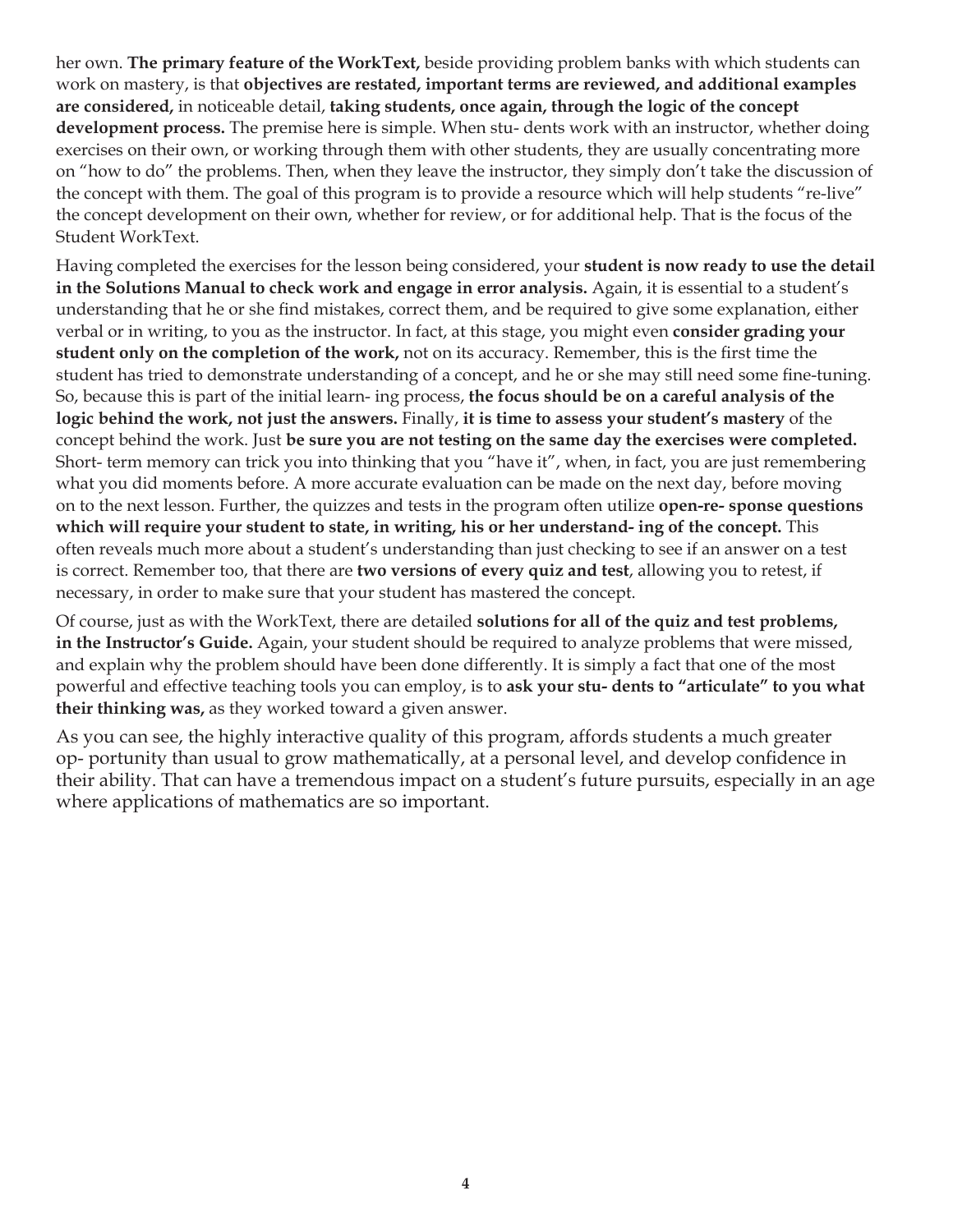her own. **The primary feature of the WorkText,** beside providing problem banks with which students can work on mastery, is that **objectives are restated, important terms are reviewed, and additional examples are considered,** in noticeable detail, **taking students, once again, through the logic of the concept development process.** The premise here is simple. When stu- dents work with an instructor, whether doing exercises on their own, or working through them with other students, they are usually concentrating more on "how to do" the problems. Then, when they leave the instructor, they simply don't take the discussion of the concept with them. The goal of this program is to provide a resource which will help students "re-live" the concept development on their own, whether for review, or for additional help. That is the focus of the Student WorkText.

Having completed the exercises for the lesson being considered, your **student is now ready to use the detail in the Solutions Manual to check work and engage in error analysis.** Again, it is essential to a student's understanding that he or she find mistakes, correct them, and be required to give some explanation, either verbal or in writing, to you as the instructor. In fact, at this stage, you might even **consider grading your student only on the completion of the work,** not on its accuracy. Remember, this is the first time the student has tried to demonstrate understanding of a concept, and he or she may still need some fine-tuning. So, because this is part of the initial learn- ing process, **the focus should be on a careful analysis of the logic behind the work, not just the answers.** Finally, **it is time to assess your student's mastery** of the concept behind the work. Just **be sure you are not testing on the same day the exercises were completed.**  Short- term memory can trick you into thinking that you "have it", when, in fact, you are just remembering what you did moments before. A more accurate evaluation can be made on the next day, before moving on to the next lesson. Further, the quizzes and tests in the program often utilize **open-re- sponse questions which will require your student to state, in writing, his or her understand- ing of the concept.** This often reveals much more about a student's understanding than just checking to see if an answer on a test is correct. Remember too, that there are **two versions of every quiz and test**, allowing you to retest, if necessary, in order to make sure that your student has mastered the concept.

Of course, just as with the WorkText, there are detailed **solutions for all of the quiz and test problems, in the Instructor's Guide.** Again, your student should be required to analyze problems that were missed, and explain why the problem should have been done differently. It is simply a fact that one of the most powerful and effective teaching tools you can employ, is to **ask your stu- dents to "articulate" to you what their thinking was,** as they worked toward a given answer.

As you can see, the highly interactive quality of this program, affords students a much greater op- portunity than usual to grow mathematically, at a personal level, and develop confidence in their ability. That can have a tremendous impact on a student's future pursuits, especially in an age where applications of mathematics are so important.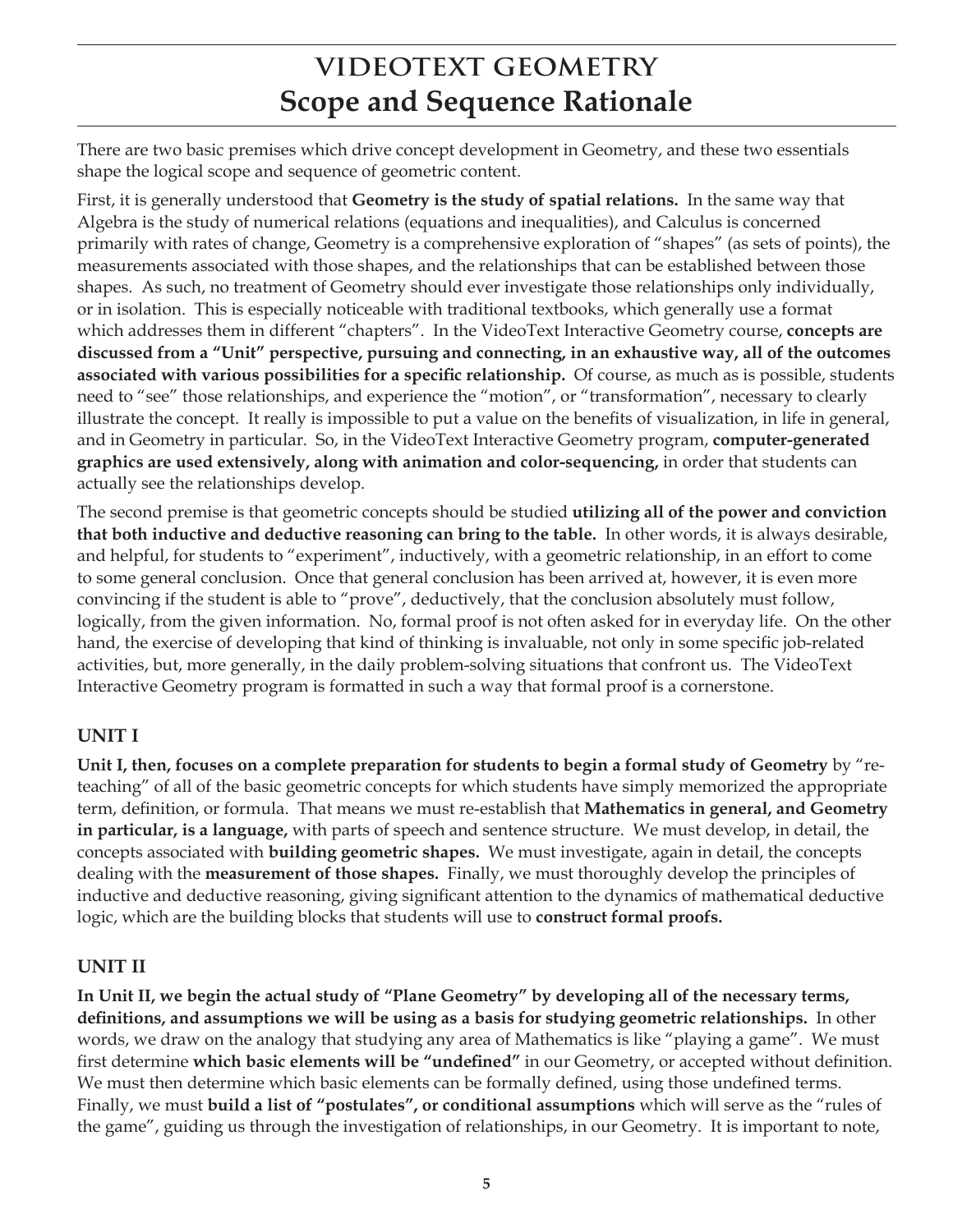### **VIDEOTEXT GEOMETRY Scope and Sequence Rationale**

There are two basic premises which drive concept development in Geometry, and these two essentials shape the logical scope and sequence of geometric content.

First, it is generally understood that **Geometry is the study of spatial relations.** In the same way that Algebra is the study of numerical relations (equations and inequalities), and Calculus is concerned primarily with rates of change, Geometry is a comprehensive exploration of "shapes" (as sets of points), the measurements associated with those shapes, and the relationships that can be established between those shapes. As such, no treatment of Geometry should ever investigate those relationships only individually, or in isolation. This is especially noticeable with traditional textbooks, which generally use a format which addresses them in different "chapters". In the VideoText Interactive Geometry course, **concepts are discussed from a "Unit" perspective, pursuing and connecting, in an exhaustive way, all of the outcomes associated with various possibilities for a specific relationship.** Of course, as much as is possible, students need to "see" those relationships, and experience the "motion", or "transformation", necessary to clearly illustrate the concept. It really is impossible to put a value on the benefits of visualization, in life in general, and in Geometry in particular. So, in the VideoText Interactive Geometry program, **computer-generated graphics are used extensively, along with animation and color-sequencing,** in order that students can actually see the relationships develop.

The second premise is that geometric concepts should be studied **utilizing all of the power and conviction that both inductive and deductive reasoning can bring to the table.** In other words, it is always desirable, and helpful, for students to "experiment", inductively, with a geometric relationship, in an effort to come to some general conclusion. Once that general conclusion has been arrived at, however, it is even more convincing if the student is able to "prove", deductively, that the conclusion absolutely must follow, logically, from the given information. No, formal proof is not often asked for in everyday life. On the other hand, the exercise of developing that kind of thinking is invaluable, not only in some specific job-related activities, but, more generally, in the daily problem-solving situations that confront us. The VideoText Interactive Geometry program is formatted in such a way that formal proof is a cornerstone.

#### **UNIT I**

**Unit I, then, focuses on a complete preparation for students to begin a formal study of Geometry** by "reteaching" of all of the basic geometric concepts for which students have simply memorized the appropriate term, definition, or formula. That means we must re-establish that **Mathematics in general, and Geometry in particular, is a language,** with parts of speech and sentence structure. We must develop, in detail, the concepts associated with **building geometric shapes.** We must investigate, again in detail, the concepts dealing with the **measurement of those shapes.** Finally, we must thoroughly develop the principles of inductive and deductive reasoning, giving significant attention to the dynamics of mathematical deductive logic, which are the building blocks that students will use to **construct formal proofs.** 

#### **UNIT II**

**In Unit II, we begin the actual study of "Plane Geometry" by developing all of the necessary terms, definitions, and assumptions we will be using as a basis for studying geometric relationships.** In other words, we draw on the analogy that studying any area of Mathematics is like "playing a game". We must first determine **which basic elements will be "undefined"** in our Geometry, or accepted without definition. We must then determine which basic elements can be formally defined, using those undefined terms. Finally, we must **build a list of "postulates", or conditional assumptions** which will serve as the "rules of the game", guiding us through the investigation of relationships, in our Geometry. It is important to note,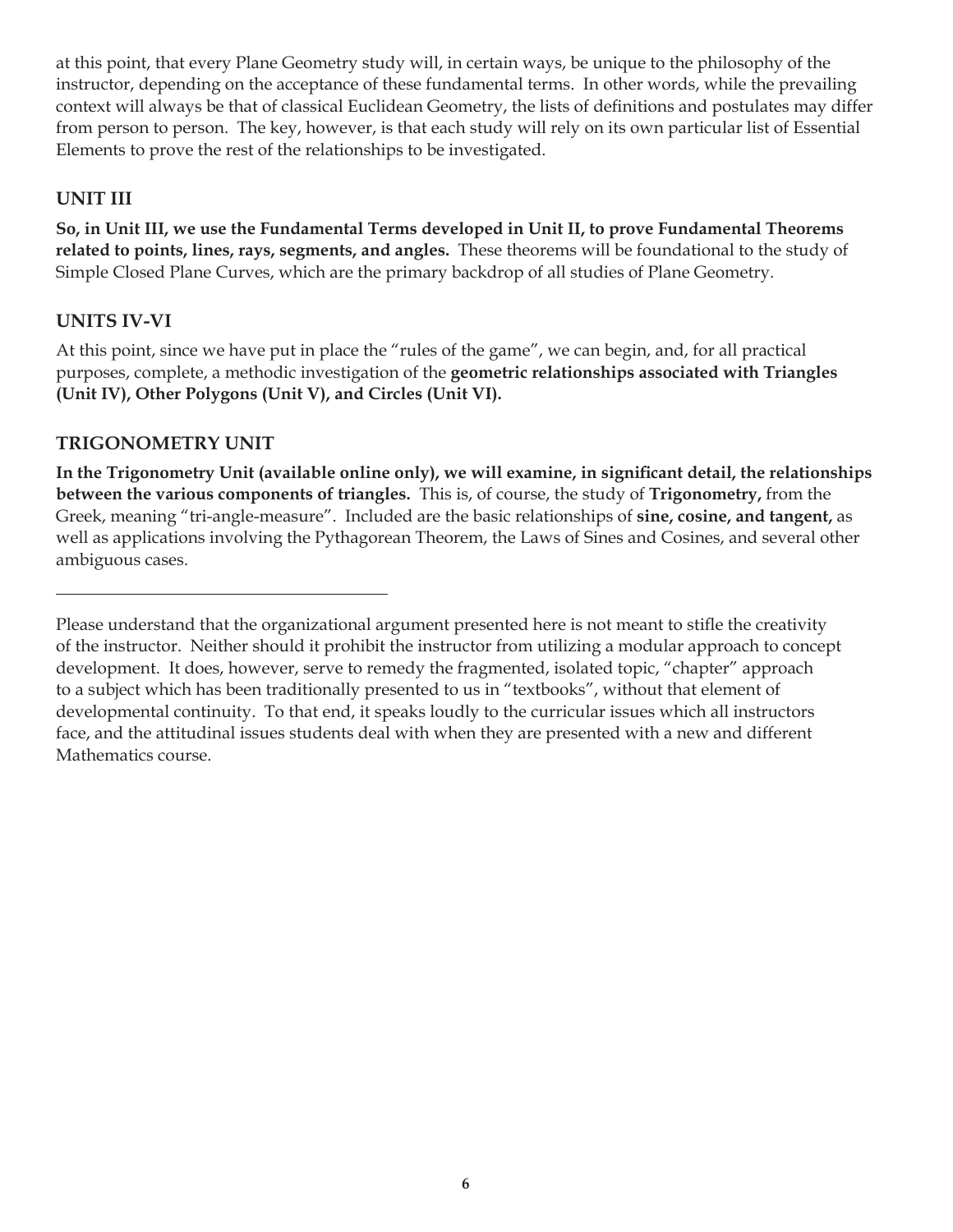at this point, that every Plane Geometry study will, in certain ways, be unique to the philosophy of the instructor, depending on the acceptance of these fundamental terms. In other words, while the prevailing context will always be that of classical Euclidean Geometry, the lists of definitions and postulates may differ from person to person. The key, however, is that each study will rely on its own particular list of Essential Elements to prove the rest of the relationships to be investigated.

#### **UNIT III**

**So, in Unit III, we use the Fundamental Terms developed in Unit II, to prove Fundamental Theorems related to points, lines, rays, segments, and angles.** These theorems will be foundational to the study of Simple Closed Plane Curves, which are the primary backdrop of all studies of Plane Geometry.

#### **UNITS IV-VI**

At this point, since we have put in place the "rules of the game", we can begin, and, for all practical purposes, complete, a methodic investigation of the **geometric relationships associated with Triangles (Unit IV), Other Polygons (Unit V), and Circles (Unit VI).**

#### **TRIGONOMETRY UNIT**

**In the Trigonometry Unit (available online only), we will examine, in significant detail, the relationships between the various components of triangles.** This is, of course, the study of **Trigonometry,** from the Greek, meaning "tri-angle-measure". Included are the basic relationships of **sine, cosine, and tangent,** as well as applications involving the Pythagorean Theorem, the Laws of Sines and Cosines, and several other ambiguous cases.

Please understand that the organizational argument presented here is not meant to stifle the creativity of the instructor. Neither should it prohibit the instructor from utilizing a modular approach to concept development. It does, however, serve to remedy the fragmented, isolated topic, "chapter" approach to a subject which has been traditionally presented to us in "textbooks", without that element of developmental continuity. To that end, it speaks loudly to the curricular issues which all instructors face, and the attitudinal issues students deal with when they are presented with a new and different Mathematics course.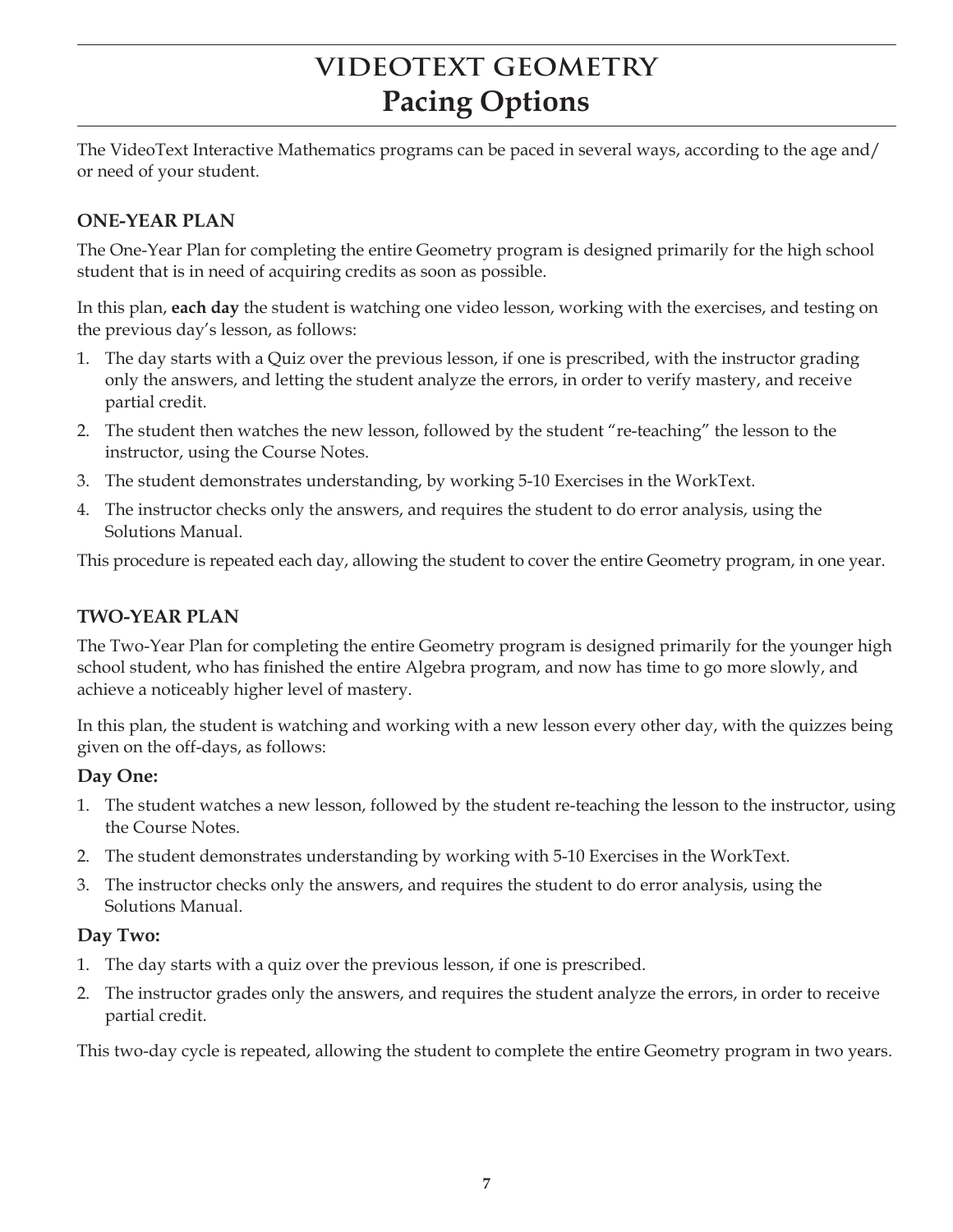## **VIDEOTEXT GEOMETRY Pacing Options**

The VideoText Interactive Mathematics programs can be paced in several ways, according to the age and/ or need of your student.

#### **ONE-YEAR PLAN**

The One-Year Plan for completing the entire Geometry program is designed primarily for the high school student that is in need of acquiring credits as soon as possible.

In this plan, **each day** the student is watching one video lesson, working with the exercises, and testing on the previous day's lesson, as follows:

- 1. The day starts with a Quiz over the previous lesson, if one is prescribed, with the instructor grading only the answers, and letting the student analyze the errors, in order to verify mastery, and receive partial credit.
- 2. The student then watches the new lesson, followed by the student "re-teaching" the lesson to the instructor, using the Course Notes.
- 3. The student demonstrates understanding, by working 5-10 Exercises in the WorkText.
- 4. The instructor checks only the answers, and requires the student to do error analysis, using the Solutions Manual.

This procedure is repeated each day, allowing the student to cover the entire Geometry program, in one year.

#### **TWO-YEAR PLAN**

The Two-Year Plan for completing the entire Geometry program is designed primarily for the younger high school student, who has finished the entire Algebra program, and now has time to go more slowly, and achieve a noticeably higher level of mastery.

In this plan, the student is watching and working with a new lesson every other day, with the quizzes being given on the off-days, as follows:

#### **Day One:**

- 1. The student watches a new lesson, followed by the student re-teaching the lesson to the instructor, using the Course Notes.
- 2. The student demonstrates understanding by working with 5-10 Exercises in the WorkText.
- 3. The instructor checks only the answers, and requires the student to do error analysis, using the Solutions Manual.

#### **Day Two:**

- 1. The day starts with a quiz over the previous lesson, if one is prescribed.
- 2. The instructor grades only the answers, and requires the student analyze the errors, in order to receive partial credit.

This two-day cycle is repeated, allowing the student to complete the entire Geometry program in two years.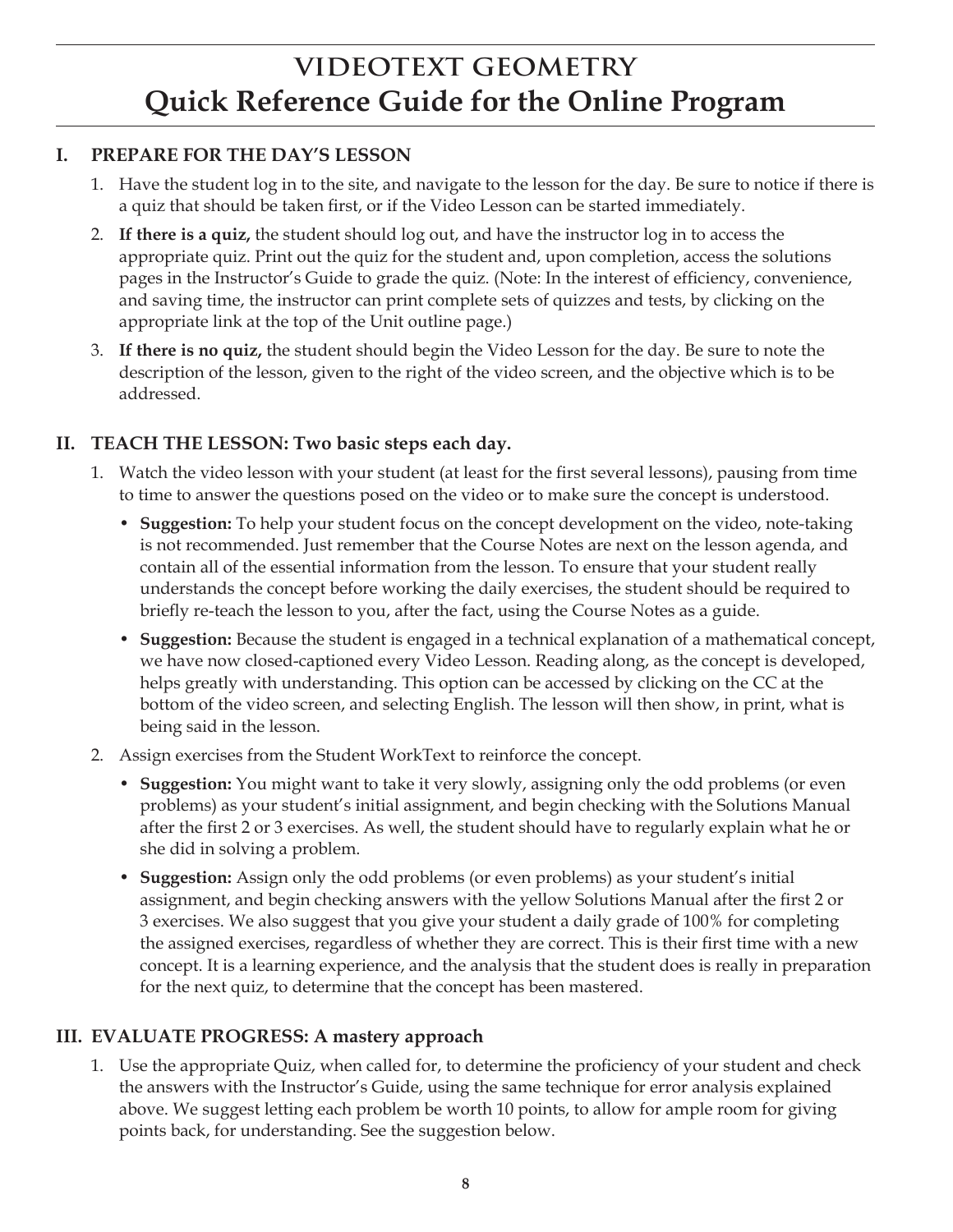### **VIDEOTEXT GEOMETRY Quick Reference Guide for the Online Program**

#### **I. PREPARE FOR THE DAY'S LESSON**

- 1. Have the student log in to the site, and navigate to the lesson for the day. Be sure to notice if there is a quiz that should be taken first, or if the Video Lesson can be started immediately.
- 2. **If there is a quiz,** the student should log out, and have the instructor log in to access the appropriate quiz. Print out the quiz for the student and, upon completion, access the solutions pages in the Instructor's Guide to grade the quiz. (Note: In the interest of efficiency, convenience, and saving time, the instructor can print complete sets of quizzes and tests, by clicking on the appropriate link at the top of the Unit outline page.)
- 3. **If there is no quiz,** the student should begin the Video Lesson for the day. Be sure to note the description of the lesson, given to the right of the video screen, and the objective which is to be addressed.

#### **II. TEACH THE LESSON: Two basic steps each day.**

- 1. Watch the video lesson with your student (at least for the first several lessons), pausing from time to time to answer the questions posed on the video or to make sure the concept is understood.
	- **Suggestion:** To help your student focus on the concept development on the video, note-taking is not recommended. Just remember that the Course Notes are next on the lesson agenda, and contain all of the essential information from the lesson. To ensure that your student really understands the concept before working the daily exercises, the student should be required to briefly re-teach the lesson to you, after the fact, using the Course Notes as a guide.
	- **Suggestion:** Because the student is engaged in a technical explanation of a mathematical concept, we have now closed-captioned every Video Lesson. Reading along, as the concept is developed, helps greatly with understanding. This option can be accessed by clicking on the CC at the bottom of the video screen, and selecting English. The lesson will then show, in print, what is being said in the lesson.
- 2. Assign exercises from the Student WorkText to reinforce the concept.
	- **Suggestion:** You might want to take it very slowly, assigning only the odd problems (or even problems) as your student's initial assignment, and begin checking with the Solutions Manual after the first 2 or 3 exercises. As well, the student should have to regularly explain what he or she did in solving a problem.
	- **Suggestion:** Assign only the odd problems (or even problems) as your student's initial assignment, and begin checking answers with the yellow Solutions Manual after the first 2 or 3 exercises. We also suggest that you give your student a daily grade of 100% for completing the assigned exercises, regardless of whether they are correct. This is their first time with a new concept. It is a learning experience, and the analysis that the student does is really in preparation for the next quiz, to determine that the concept has been mastered.

### **III. EVALUATE PROGRESS: A mastery approach**

1. Use the appropriate Quiz, when called for, to determine the proficiency of your student and check the answers with the Instructor's Guide, using the same technique for error analysis explained above. We suggest letting each problem be worth 10 points, to allow for ample room for giving points back, for understanding. See the suggestion below.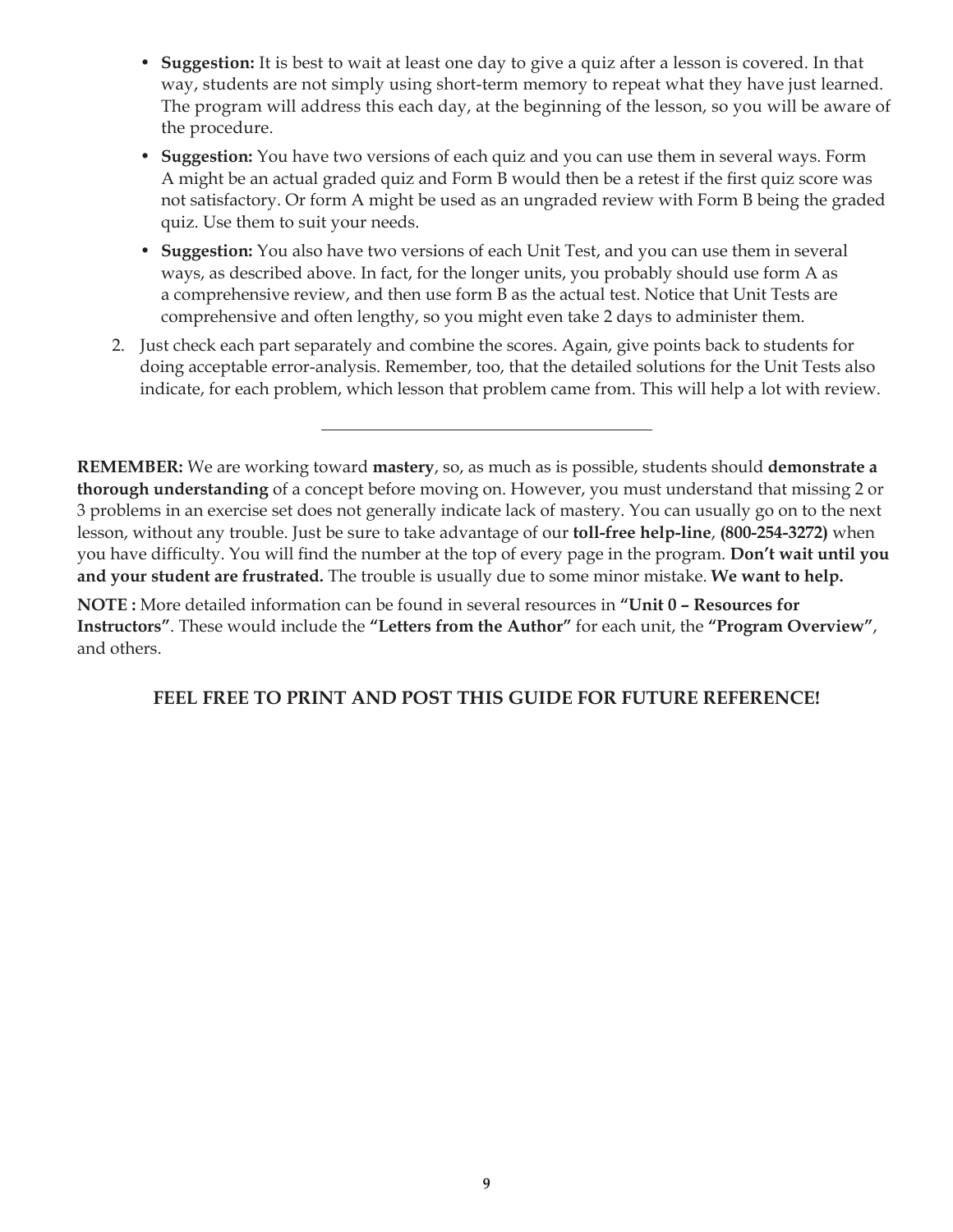- **Suggestion:** It is best to wait at least one day to give a quiz after a lesson is covered. In that way, students are not simply using short-term memory to repeat what they have just learned. The program will address this each day, at the beginning of the lesson, so you will be aware of the procedure.
- **Suggestion:** You have two versions of each quiz and you can use them in several ways. Form A might be an actual graded quiz and Form B would then be a retest if the first quiz score was not satisfactory. Or form A might be used as an ungraded review with Form B being the graded quiz. Use them to suit your needs.
- **Suggestion:** You also have two versions of each Unit Test, and you can use them in several ways, as described above. In fact, for the longer units, you probably should use form A as a comprehensive review, and then use form B as the actual test. Notice that Unit Tests are comprehensive and often lengthy, so you might even take 2 days to administer them.
- 2. Just check each part separately and combine the scores. Again, give points back to students for doing acceptable error-analysis. Remember, too, that the detailed solutions for the Unit Tests also indicate, for each problem, which lesson that problem came from. This will help a lot with review.

**REMEMBER:** We are working toward **mastery**, so, as much as is possible, students should **demonstrate a thorough understanding** of a concept before moving on. However, you must understand that missing 2 or 3 problems in an exercise set does not generally indicate lack of mastery. You can usually go on to the next lesson, without any trouble. Just be sure to take advantage of our **toll-free help-line**, **(800-254-3272)** when you have difficulty. You will find the number at the top of every page in the program. **Don't wait until you and your student are frustrated.** The trouble is usually due to some minor mistake. **We want to help.**

**NOTE :** More detailed information can be found in several resources in **"Unit 0 – Resources for Instructors"**. These would include the **"Letters from the Author"** for each unit, the **"Program Overview"**, and others.

**FEEL FREE TO PRINT AND POST THIS GUIDE FOR FUTURE REFERENCE!**